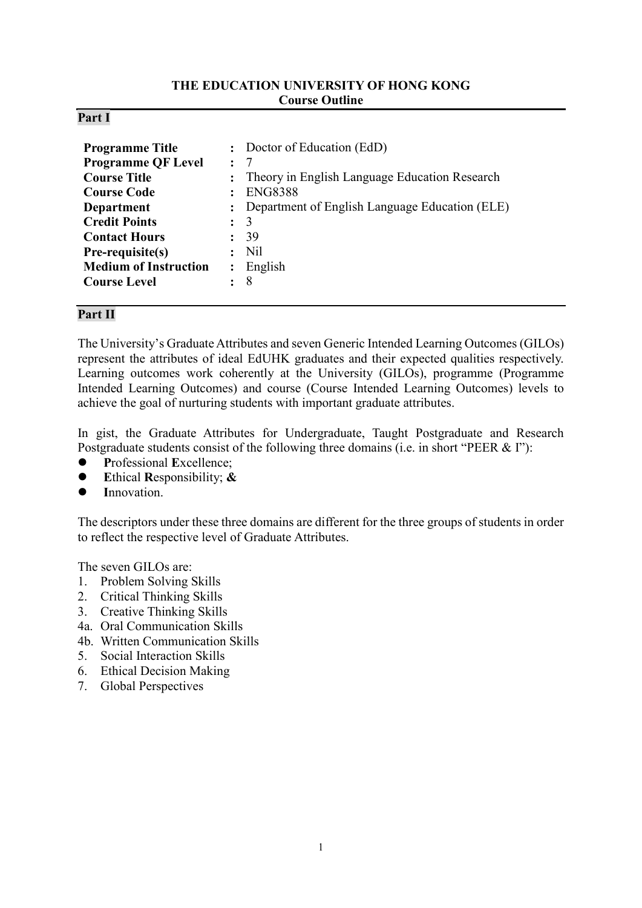## **THE EDUCATION UNIVERSITY OF HONG KONG Course Outline**

### **Part I**

| <b>Programme Title</b><br><b>Programme QF Level</b><br><b>Course Title</b><br><b>Course Code</b><br><b>Department</b><br><b>Credit Points</b><br><b>Contact Hours</b><br>Pre-requisite(s)<br><b>Medium of Instruction</b> | $\cdot$ .<br>$\ddot{\cdot}$<br>$\ddot{\cdot}$<br>$\ddot{\phantom{a}}$<br>$\ddot{\cdot}$ | : Doctor of Education (EdD)<br>- 7<br>: Theory in English Language Education Research<br><b>ENG8388</b><br>Department of English Language Education (ELE)<br>3<br>39<br>N <sub>il</sub><br>$:$ English |
|---------------------------------------------------------------------------------------------------------------------------------------------------------------------------------------------------------------------------|-----------------------------------------------------------------------------------------|--------------------------------------------------------------------------------------------------------------------------------------------------------------------------------------------------------|
| <b>Course Level</b>                                                                                                                                                                                                       |                                                                                         | 8                                                                                                                                                                                                      |

## **Part II**

The University's Graduate Attributes and seven Generic Intended Learning Outcomes (GILOs) represent the attributes of ideal EdUHK graduates and their expected qualities respectively. Learning outcomes work coherently at the University (GILOs), programme (Programme Intended Learning Outcomes) and course (Course Intended Learning Outcomes) levels to achieve the goal of nurturing students with important graduate attributes.

In gist, the Graduate Attributes for Undergraduate, Taught Postgraduate and Research Postgraduate students consist of the following three domains (i.e. in short "PEER & I"):

- **P**rofessional **E**xcellence;
- **E**thical **R**esponsibility; **&**
- **I**nnovation.

The descriptors under these three domains are different for the three groups of students in order to reflect the respective level of Graduate Attributes.

The seven GILOs are:

- 1. Problem Solving Skills
- 2. Critical Thinking Skills
- 3. Creative Thinking Skills
- 4a. Oral Communication Skills
- 4b. Written Communication Skills
- 5. Social Interaction Skills
- 6. Ethical Decision Making
- 7. Global Perspectives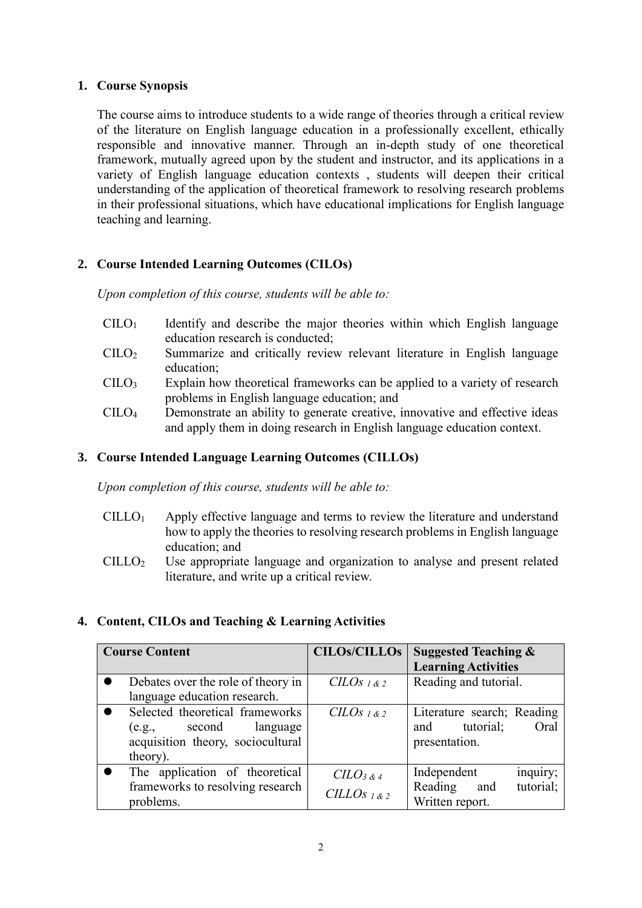## **1. Course Synopsis**

The course aims to introduce students to a wide range of theories through a critical review of the literature on English language education in a professionally excellent, ethically responsible and innovative manner. Through an in-depth study of one theoretical framework, mutually agreed upon by the student and instructor, and its applications in a variety of English language education contexts , students will deepen their critical understanding of the application of theoretical framework to resolving research problems in their professional situations, which have educational implications for English language teaching and learning.

# **2. Course Intended Learning Outcomes (CILOs)**

*Upon completion of this course, students will be able to:*

- $C I L O<sub>1</sub>$  Identify and describe the major theories within which English language education research is conducted;
- $C I L O<sub>2</sub>$  Summarize and critically review relevant literature in English language education;
- CILO<sup>3</sup> Explain how theoretical frameworks can be applied to a variety of research problems in English language education; and
- CILO<sup>4</sup> Demonstrate an ability to generate creative, innovative and effective ideas and apply them in doing research in English language education context.

# **3. Course Intended Language Learning Outcomes (CILLOs)**

*Upon completion of this course, students will be able to:*

- $CILLO<sub>1</sub>$  Apply effective language and terms to review the literature and understand how to apply the theories to resolving research problems in English language education; and
- CILLO<sup>2</sup> Use appropriate language and organization to analyse and present related literature, and write up a critical review.

# **4. Content, CILOs and Teaching & Learning Activities**

| <b>Course Content</b> |                                                                                                            | <b>CILOs/CILLOS</b>                                | <b>Suggested Teaching &amp;</b><br><b>Learning Activities</b>           |  |
|-----------------------|------------------------------------------------------------------------------------------------------------|----------------------------------------------------|-------------------------------------------------------------------------|--|
|                       | Debates over the role of theory in<br>language education research.                                         | $CLOS_{1&2}$                                       | Reading and tutorial.                                                   |  |
|                       | Selected theoretical frameworks<br>(e.g., second language<br>acquisition theory, sociocultural<br>theory). | CILOS 1 & 2                                        | Literature search; Reading<br>tutorial;<br>and<br>Oral<br>presentation. |  |
|                       | The application of theoretical<br>frameworks to resolving research<br>problems.                            | $C\ddot{L}O_{3,8,4}$<br>CILLO <sub>S</sub> $1 & 2$ | inquiry;<br>Independent<br>tutorial;<br>Reading and<br>Written report.  |  |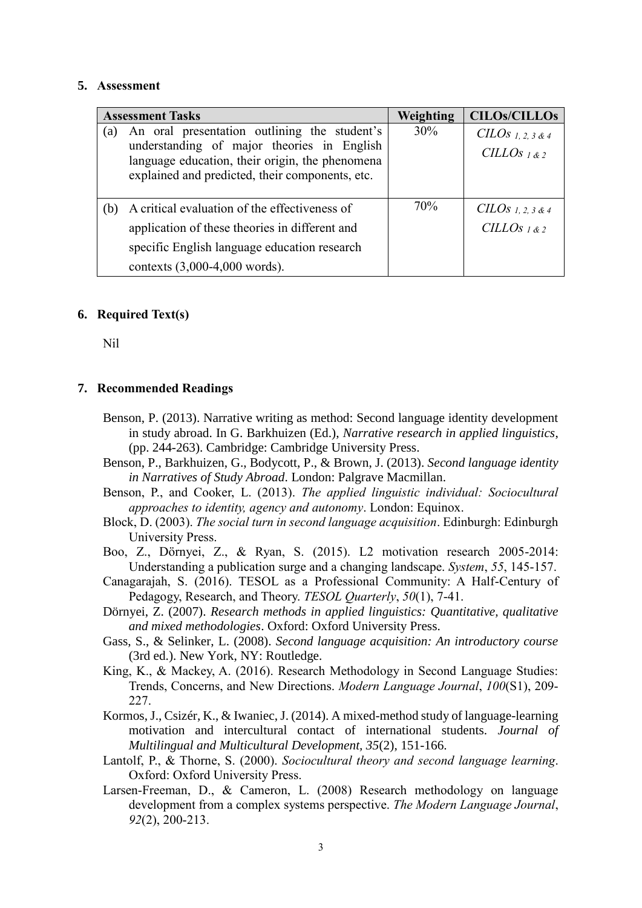#### **5. Assessment**

| <b>Assessment Tasks</b>         | Weighting                                                                                  | <b>CILOs/CILLOs</b> |                                                 |
|---------------------------------|--------------------------------------------------------------------------------------------|---------------------|-------------------------------------------------|
| (a)                             | An oral presentation outlining the student's<br>understanding of major theories in English | 30%                 | CILOS 1.2.3 & 4<br>CILLO <sub>S 1 &amp; 2</sub> |
|                                 | language education, their origin, the phenomena                                            |                     |                                                 |
|                                 | explained and predicted, their components, etc.                                            |                     |                                                 |
|                                 |                                                                                            |                     |                                                 |
| (b)                             | A critical evaluation of the effectiveness of                                              |                     | $CILOs$ 1, 2, 3 & 4                             |
|                                 | application of these theories in different and                                             |                     | CILLO <sub>S 1 &amp; 2</sub>                    |
|                                 | specific English language education research                                               |                     |                                                 |
| contexts $(3,000-4,000$ words). |                                                                                            |                     |                                                 |

#### **6. Required Text(s)**

Nil

### **7. Recommended Readings**

- Benson, P. (2013). Narrative writing as method: Second language identity development in study abroad. In G. Barkhuizen (Ed.), *Narrative research in applied linguistics*, (pp. 244-263). Cambridge: Cambridge University Press.
- Benson, P., Barkhuizen, G., Bodycott, P., & Brown, J. (2013). *Second language identity in Narratives of Study Abroad*. London: Palgrave Macmillan.
- Benson, P., and Cooker, L. (2013). *The applied linguistic individual: Sociocultural approaches to identity, agency and autonomy*. London: Equinox.
- Block, D. (2003). *The social turn in second language acquisition*. Edinburgh: Edinburgh University Press.
- Boo, Z., Dörnyei, Z., & Ryan, S. (2015). L2 motivation research 2005-2014: Understanding a publication surge and a changing landscape. *System*, *55*, 145-157.
- Canagarajah, S. (2016). TESOL as a Professional Community: A Half-Century of Pedagogy, Research, and Theory. *TESOL Quarterly*, *50*(1), 7-41.
- Dörnyei, Z. (2007). *Research methods in applied linguistics: Quantitative, qualitative and mixed methodologies*. Oxford: Oxford University Press.
- Gass, S., & Selinker, L. (2008). *Second language acquisition: An introductory course* (3rd ed.). New York, NY: Routledge.
- King, K., & Mackey, A. (2016). Research Methodology in Second Language Studies: Trends, Concerns, and New Directions. *Modern Language Journal*, *100*(S1), 209- 227.
- Kormos, J., Csizér, K., & Iwaniec, J. (2014). A mixed-method study of language-learning motivation and intercultural contact of international students. *Journal of Multilingual and Multicultural Development, 35*(2), 151-166.
- Lantolf, P., & Thorne, S. (2000). *Sociocultural theory and second language learning*. Oxford: Oxford University Press.
- Larsen-Freeman, D., & Cameron, L. (2008) Research methodology on language development from a complex systems perspective. *The Modern Language Journal*, *92*(2), 200-213.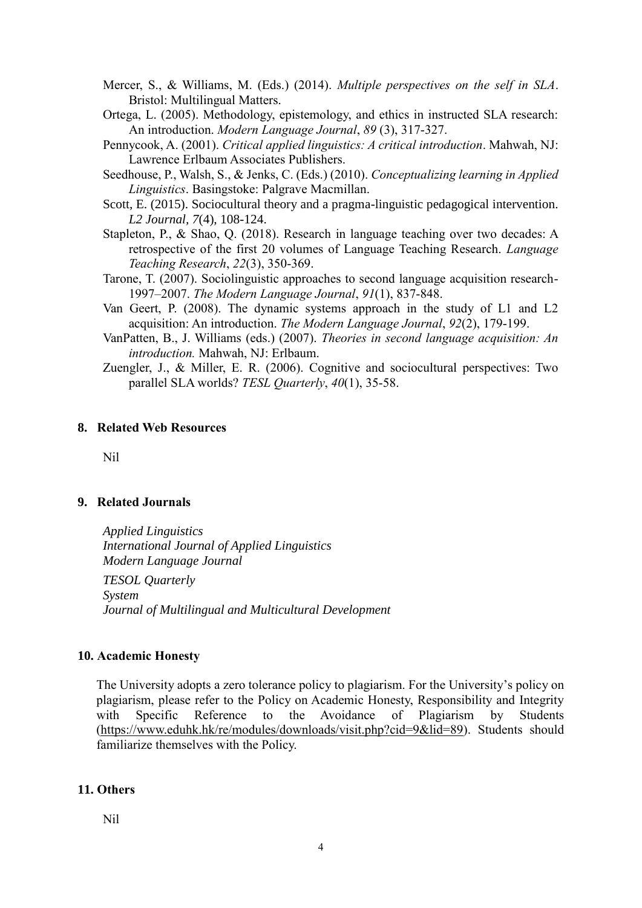- Mercer, S., & Williams, M. (Eds.) (2014). *Multiple perspectives on the self in SLA*. Bristol: Multilingual Matters.
- Ortega, L. (2005). Methodology, epistemology, and ethics in instructed SLA research: An introduction. *Modern Language Journal*, *89* (3), 317-327.
- Pennycook, A. (2001). *Critical applied linguistics: A critical introduction*. Mahwah, NJ: Lawrence Erlbaum Associates Publishers.

Seedhouse, P., Walsh, S., & Jenks, C. (Eds.) (2010). *Conceptualizing learning in Applied Linguistics*. Basingstoke: Palgrave Macmillan.

- Scott, E. (2015). Sociocultural theory and a pragma-linguistic pedagogical intervention. *L2 Journal, 7*(4), 108-124.
- Stapleton, P., & Shao, Q. (2018). Research in language teaching over two decades: A retrospective of the first 20 volumes of Language Teaching Research. *Language Teaching Research*, *22*(3), 350-369.
- Tarone, T. (2007). Sociolinguistic approaches to second language acquisition research-1997–2007. *The Modern Language Journal*, *91*(1), 837-848.
- Van Geert, P. (2008). The dynamic systems approach in the study of L1 and L2 acquisition: An introduction. *The Modern Language Journal*, *92*(2), 179-199.
- VanPatten, B., J. Williams (eds.) (2007). *Theories in second language acquisition: An introduction.* Mahwah, NJ: Erlbaum.
- Zuengler, J., & Miller, E. R. (2006). Cognitive and sociocultural perspectives: Two parallel SLA worlds? *TESL Quarterly*, *40*(1), 35-58.

#### **8. Related Web Resources**

Nil

## **9. Related Journals**

*Applied Linguistics International Journal of Applied Linguistics Modern Language Journal TESOL Quarterly System Journal of Multilingual and Multicultural Development*

### **10. Academic Honesty**

The University adopts a zero tolerance policy to plagiarism. For the University's policy on plagiarism, please refer to the Policy on Academic Honesty, Responsibility and Integrity with Specific Reference to the Avoidance of Plagiarism by Students [\(https://www.eduhk.hk/re/modules/downloads/visit.php?cid=9&lid=89\)](https://www.eduhk.hk/re/modules/downloads/visit.php?cid=9&lid=89). Students should familiarize themselves with the Policy.

### **11. Others**

Nil